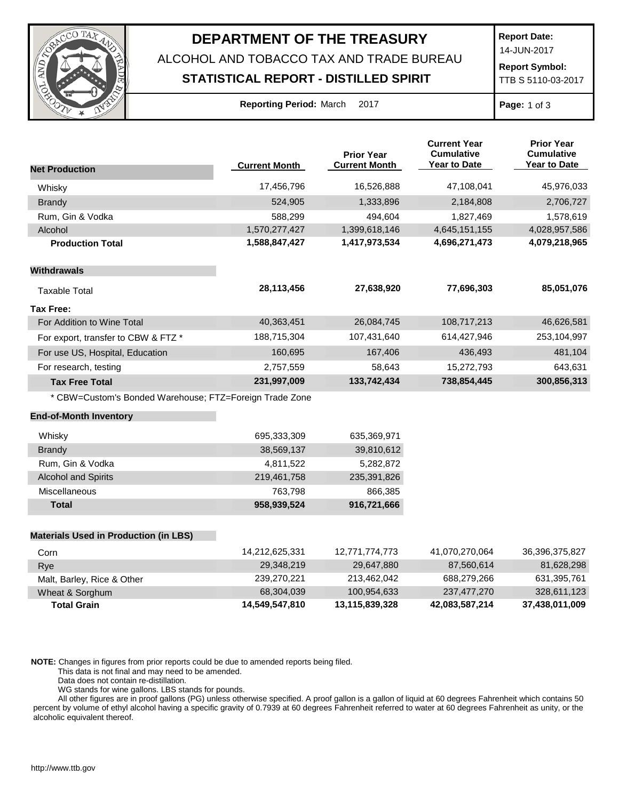

## **DEPARTMENT OF THE TREASURY**

ALCOHOL AND TOBACCO TAX AND TRADE BUREAU

## **STATISTICAL REPORT - DISTILLED SPIRIT**

**Report Date:**

14-JUN-2017

**Report Symbol:** TTB S 5110-03-2017

| Reporting Period: March |  | 201 |
|-------------------------|--|-----|
|-------------------------|--|-----|

**Report 2017 Page:** 1 of 3

|                                                         |                      | <b>Prior Year</b>    | <b>Current Year</b><br><b>Cumulative</b><br><b>Year to Date</b> | <b>Prior Year</b><br><b>Cumulative</b><br><b>Year to Date</b> |
|---------------------------------------------------------|----------------------|----------------------|-----------------------------------------------------------------|---------------------------------------------------------------|
| <b>Net Production</b>                                   | <b>Current Month</b> | <b>Current Month</b> |                                                                 |                                                               |
| Whisky                                                  | 17,456,796           | 16,526,888           | 47,108,041                                                      | 45,976,033                                                    |
| <b>Brandy</b>                                           | 524,905              | 1,333,896            | 2,184,808                                                       | 2,706,727                                                     |
| Rum, Gin & Vodka                                        | 588,299              | 494,604              | 1,827,469                                                       | 1,578,619                                                     |
| Alcohol                                                 | 1,570,277,427        | 1,399,618,146        | 4,645,151,155                                                   | 4,028,957,586                                                 |
| <b>Production Total</b>                                 | 1,588,847,427        | 1,417,973,534        | 4,696,271,473                                                   | 4,079,218,965                                                 |
| <b>Withdrawals</b>                                      |                      |                      |                                                                 |                                                               |
| <b>Taxable Total</b>                                    | 28,113,456           | 27,638,920           | 77,696,303                                                      | 85,051,076                                                    |
| <b>Tax Free:</b>                                        |                      |                      |                                                                 |                                                               |
| For Addition to Wine Total                              | 40,363,451           | 26,084,745           | 108,717,213                                                     | 46,626,581                                                    |
| For export, transfer to CBW & FTZ *                     | 188,715,304          | 107,431,640          | 614,427,946                                                     | 253,104,997                                                   |
| For use US, Hospital, Education                         | 160,695              | 167,406              | 436,493                                                         | 481,104                                                       |
| For research, testing                                   | 2,757,559            | 58,643               | 15,272,793                                                      | 643,631                                                       |
| <b>Tax Free Total</b>                                   | 231,997,009          | 133,742,434          | 738,854,445                                                     | 300,856,313                                                   |
| * CBW=Custom's Bonded Warehouse; FTZ=Foreign Trade Zone |                      |                      |                                                                 |                                                               |
| <b>End-of-Month Inventory</b>                           |                      |                      |                                                                 |                                                               |
| Whisky                                                  | 695,333,309          | 635,369,971          |                                                                 |                                                               |
| <b>Brandy</b>                                           | 38,569,137           | 39,810,612           |                                                                 |                                                               |
| Rum, Gin & Vodka                                        | 4,811,522            | 5,282,872            |                                                                 |                                                               |
| <b>Alcohol and Spirits</b>                              | 219,461,758          | 235,391,826          |                                                                 |                                                               |
| Miscellaneous                                           | 763,798              | 866,385              |                                                                 |                                                               |
| <b>Total</b>                                            | 958,939,524          | 916,721,666          |                                                                 |                                                               |
| <b>Materials Used in Production (in LBS)</b>            |                      |                      |                                                                 |                                                               |
| Corn                                                    | 14,212,625,331       | 12,771,774,773       | 41,070,270,064                                                  | 36,396,375,827                                                |
| Rye                                                     | 29,348,219           | 29,647,880           | 87,560,614                                                      | 81,628,298                                                    |

| <b>Total Grain</b>         | 14,549,547,810 | 13,115,839,328 | 42,083,587,214 | 37,438,011,009 |
|----------------------------|----------------|----------------|----------------|----------------|
| Wheat & Sorghum            | 68,304,039     | 100.954.633    | 237,477,270    | 328.611.123    |
| Malt, Barley, Rice & Other | 239.270.221    | 213.462.042    | 688.279.266    | 631.395.761    |
| <b>R</b> ve                | 23,040,213     | $L3,0+1,000$   | 01,000,01      | 01,020,200     |

**NOTE:** Changes in figures from prior reports could be due to amended reports being filed.

This data is not final and may need to be amended.

Data does not contain re-distillation.

WG stands for wine gallons. LBS stands for pounds.

All other figures are in proof gallons (PG) unless otherwise specified. A proof gallon is a gallon of liquid at 60 degrees Fahrenheit which contains 50 percent by volume of ethyl alcohol having a specific gravity of 0.7939 at 60 degrees Fahrenheit referred to water at 60 degrees Fahrenheit as unity, or the alcoholic equivalent thereof.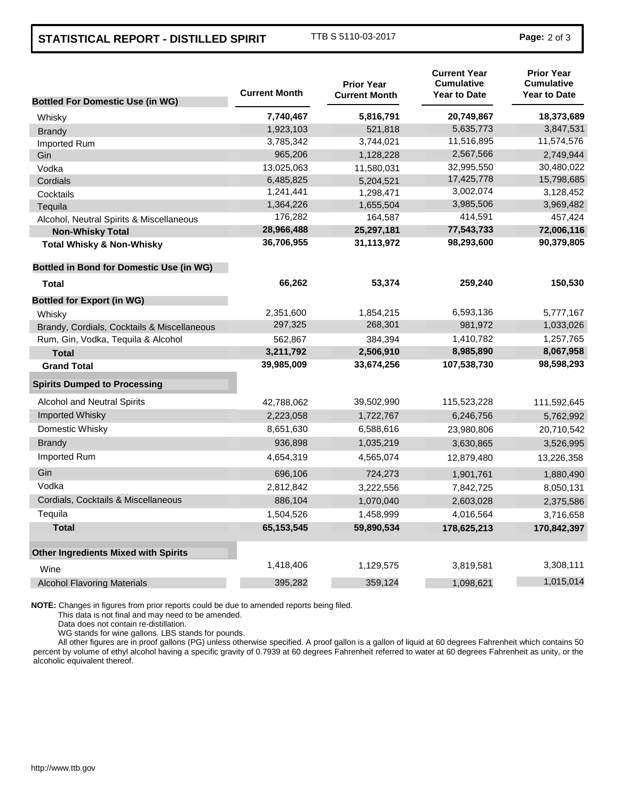## **STATISTICAL REPORT - DISTILLED SPIRIT** TTB S 5110-03-2017 **Page:** <sup>2</sup> of 3

|                                                 | <b>Current Month</b> | <b>Prior Year</b><br><b>Current Month</b> | <b>Current Year</b><br><b>Cumulative</b><br><b>Year to Date</b> | <b>Prior Year</b><br><b>Cumulative</b><br><b>Year to Date</b> |
|-------------------------------------------------|----------------------|-------------------------------------------|-----------------------------------------------------------------|---------------------------------------------------------------|
| <b>Bottled For Domestic Use (in WG)</b>         |                      |                                           |                                                                 |                                                               |
| Whisky                                          | 7,740,467            | 5,816,791                                 | 20,749,867                                                      | 18,373,689                                                    |
| <b>Brandy</b>                                   | 1,923,103            | 521,818                                   | 5,635,773                                                       | 3,847,531                                                     |
| Imported Rum                                    | 3,785,342            | 3,744,021                                 | 11,516,895                                                      | 11,574,576                                                    |
| Gin                                             | 965,206              | 1,128,228                                 | 2,567,566                                                       | 2,749,944                                                     |
| Vodka                                           | 13,025,063           | 11,580,031                                | 32,995,550                                                      | 30,480,022                                                    |
| Cordials                                        | 6,485,825            | 5,204,521                                 | 17,425,778                                                      | 15,798,685                                                    |
| Cocktails                                       | 1,241,441            | 1,298,471                                 | 3,002,074                                                       | 3,128,452                                                     |
| Tequila                                         | 1,364,226            | 1,655,504                                 | 3,985,506                                                       | 3,969,482                                                     |
| Alcohol, Neutral Spirits & Miscellaneous        | 176,282              | 164,587                                   | 414,591                                                         | 457,424                                                       |
| <b>Non-Whisky Total</b>                         | 28,966,488           | 25,297,181                                | 77,543,733                                                      | 72,006,116                                                    |
| <b>Total Whisky &amp; Non-Whisky</b>            | 36,706,955           | 31,113,972                                | 98,293,600                                                      | 90,379,805                                                    |
| <b>Bottled in Bond for Domestic Use (in WG)</b> |                      |                                           |                                                                 |                                                               |
| <b>Total</b>                                    | 66,262               | 53,374                                    | 259,240                                                         | 150,530                                                       |
| <b>Bottled for Export (in WG)</b>               |                      |                                           |                                                                 |                                                               |
| Whisky                                          | 2,351,600            | 1,854,215                                 | 6,593,136                                                       | 5,777,167                                                     |
| Brandy, Cordials, Cocktails & Miscellaneous     | 297,325              | 268,301                                   | 981,972                                                         | 1,033,026                                                     |
| Rum, Gin, Vodka, Tequila & Alcohol              | 562,867              | 384,394                                   | 1,410,782                                                       | 1,257,765                                                     |
| <b>Total</b>                                    | 3,211,792            | 2,506,910                                 | 8,985,890                                                       | 8,067,958                                                     |
| <b>Grand Total</b>                              | 39,985,009           | 33,674,256                                | 107,538,730                                                     | 98,598,293                                                    |
| <b>Spirits Dumped to Processing</b>             |                      |                                           |                                                                 |                                                               |
| <b>Alcohol and Neutral Spirits</b>              | 42,788,062           | 39,502,990                                | 115,523,228                                                     | 111,592,645                                                   |
| <b>Imported Whisky</b>                          | 2,223,058            | 1,722,767                                 | 6,246,756                                                       | 5,762,992                                                     |
| Domestic Whisky                                 | 8,651,630            | 6,588,616                                 | 23,980,806                                                      | 20,710,542                                                    |
| <b>Brandy</b>                                   | 936,898              | 1,035,219                                 | 3,630,865                                                       | 3,526,995                                                     |
| Imported Rum                                    | 4,654,319            | 4,565,074                                 | 12,879,480                                                      | 13,226,358                                                    |
| Gin                                             | 696,106              | 724,273                                   | 1,901,761                                                       | 1,880,490                                                     |
| Vodka                                           | 2,812,842            | 3,222,556                                 | 7,842,725                                                       | 8,050,131                                                     |
| Cordials, Cocktails & Miscellaneous             | 886,104              | 1,070,040                                 | 2,603,028                                                       | 2,375,586                                                     |
| Tequila                                         | 1,504,526            | 1,458,999                                 | 4,016,564                                                       | 3,716,658                                                     |
| <b>Total</b>                                    | 65,153,545           | 59,890,534                                | 178,625,213                                                     | 170,842,397                                                   |
| <b>Other Ingredients Mixed with Spirits</b>     |                      |                                           |                                                                 |                                                               |
| Wine                                            | 1,418,406            | 1,129,575                                 | 3,819,581                                                       | 3,308,111                                                     |
| <b>Alcohol Flavoring Materials</b>              | 395,282              | 359,124                                   | 1,098,621                                                       | 1,015,014                                                     |
|                                                 |                      |                                           |                                                                 |                                                               |

**NOTE:** Changes in figures from prior reports could be due to amended reports being filed.

This data is not final and may need to be amended.

Data does not contain re-distillation.

WG stands for wine gallons. LBS stands for pounds.

All other figures are in proof gallons (PG) unless otherwise specified. A proof gallon is a gallon of liquid at 60 degrees Fahrenheit which contains 50 percent by volume of ethyl alcohol having a specific gravity of 0.7939 at 60 degrees Fahrenheit referred to water at 60 degrees Fahrenheit as unity, or the alcoholic equivalent thereof.